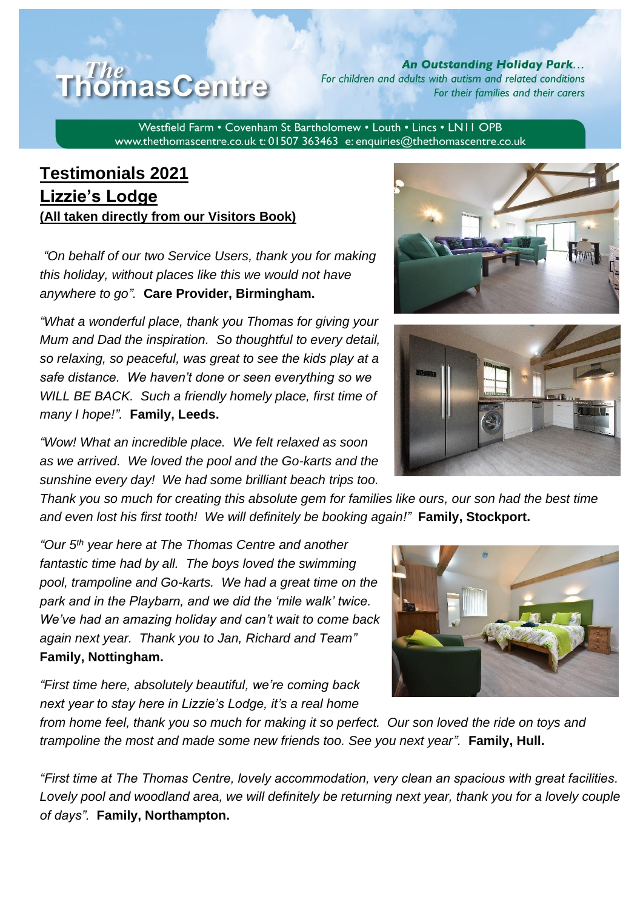## The **homas Centre**

**An Outstanding Holiday Park...** For children and adults with autism and related conditions For their families and their carers

Westfield Farm • Covenham St Bartholomew • Louth • Lincs • LN11 OPB www.thethomascentre.co.uk t: 01507 363463 e: enquiries@thethomascentre.co.uk

## **Testimonials 2021 Lizzie's Lodge (All taken directly from our Visitors Book)**

*"On behalf of our two Service Users, thank you for making this holiday, without places like this we would not have anywhere to go".* **Care Provider, Birmingham.**

*"What a wonderful place, thank you Thomas for giving your Mum and Dad the inspiration. So thoughtful to every detail, so relaxing, so peaceful, was great to see the kids play at a safe distance. We haven't done or seen everything so we WILL BE BACK. Such a friendly homely place, first time of many I hope!".* **Family, Leeds.**

*"Wow! What an incredible place. We felt relaxed as soon as we arrived. We loved the pool and the Go-karts and the sunshine every day! We had some brilliant beach trips too.* 

*Thank you so much for creating this absolute gem for families like ours, our son had the best time and even lost his first tooth! We will definitely be booking again!"* **Family, Stockport.**

*"Our 5th year here at The Thomas Centre and another fantastic time had by all. The boys loved the swimming pool, trampoline and Go-karts. We had a great time on the park and in the Playbarn, and we did the 'mile walk' twice. We've had an amazing holiday and can't wait to come back again next year. Thank you to Jan, Richard and Team"*  **Family, Nottingham.**

*"First time here, absolutely beautiful, we're coming back next year to stay here in Lizzie's Lodge, it's a real home* 

*from home feel, thank you so much for making it so perfect. Our son loved the ride on toys and trampoline the most and made some new friends too. See you next year".* **Family, Hull.**

*"First time at The Thomas Centre, lovely accommodation, very clean an spacious with great facilities. Lovely pool and woodland area, we will definitely be returning next year, thank you for a lovely couple of days".* **Family, Northampton.**